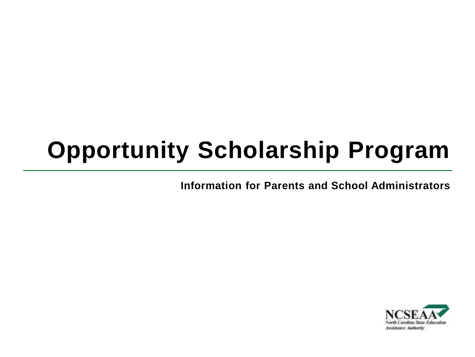## **Opportunity Scholarship Program**

**Information for Parents and School Administrators**

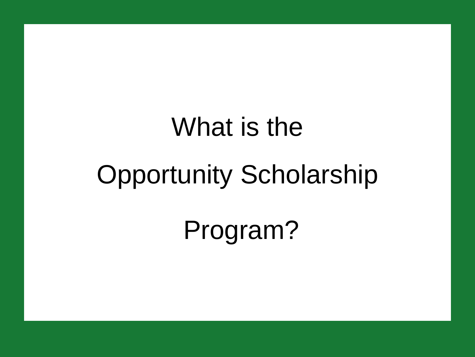# What is the Opportunity Scholarship

Program?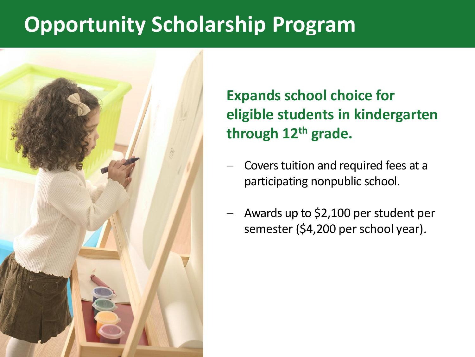## **Opportunity Scholarship Program**



### **Expands school choice for eligible students in kindergarten through 12th grade.**

- − Covers tuition and required fees at a participating nonpublic school.
- − Awards up to \$2,100 per student per semester (\$4,200 per school year).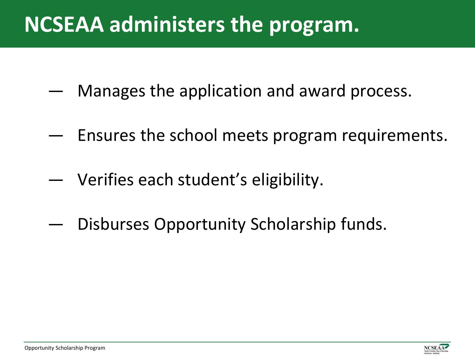## **NCSEAA administers the program.**

- ― Manages the application and award process.
- ― Ensures the school meets program requirements.
- ― Verifies each student's eligibility.
- Disburses Opportunity Scholarship funds.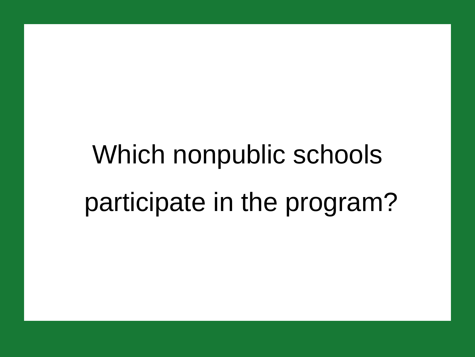## Which nonpublic schools participate in the program?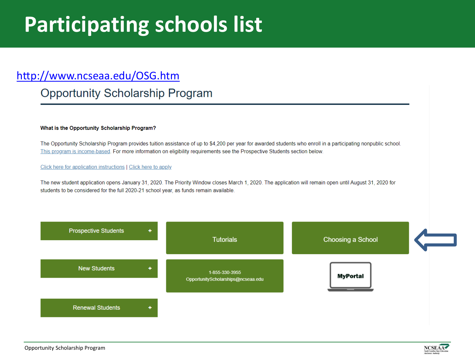## **Participating schools list**

#### <http://www.ncseaa.edu/OSG.htm>

#### **Opportunity Scholarship Program**

#### What is the Opportunity Scholarship Program?

The Opportunity Scholarship Program provides tuition assistance of up to \$4,200 per year for awarded students who enroll in a participating nonpublic school. This program is income-based. For more information on eligibility requirements see the Prospective Students section below.

#### Click here for application instructions | Click here to apply

The new student application opens January 31, 2020. The Priority Window closes March 1, 2020. The application will remain open until August 31, 2020 for students to be considered for the full 2020-21 school year, as funds remain available.



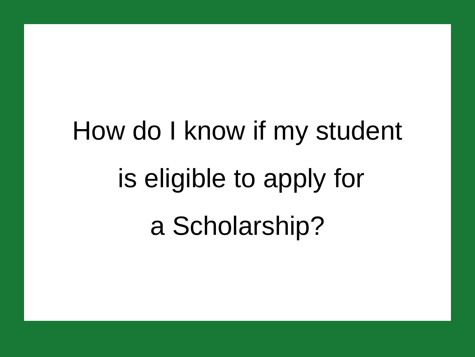## How do I know if my student is eligible to apply for a Scholarship?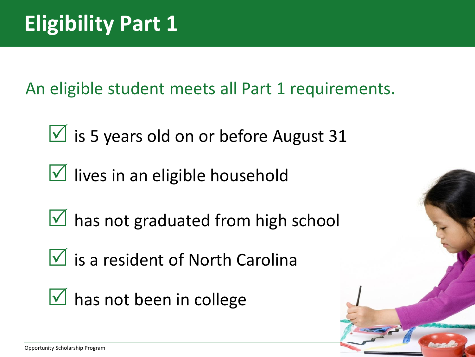An eligible student meets all Part 1 requirements.

 $\sqrt{ }$  is 5 years old on or before August 31

 $\sqrt{ }$  lives in an eligible household

 $\sqrt{ }$  has not graduated from high school

 $\sqrt{2}$  is a resident of North Carolina

 $\sqrt{ }$  has not been in college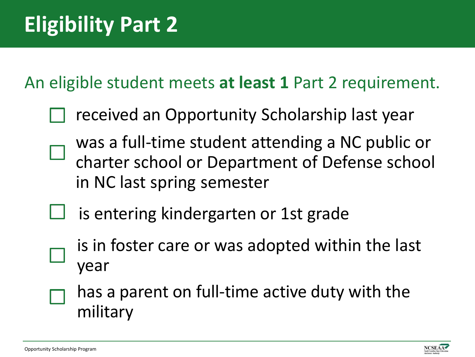An eligible student meets **at least 1** Part 2 requirement.

- received an Opportunity Scholarship last year
- was a full-time student attending a NC public or charter school or Department of Defense school in NC last spring semester
- is entering kindergarten or 1st grade
	- is in foster care or was adopted within the last year
- has a parent on full-time active duty with the military

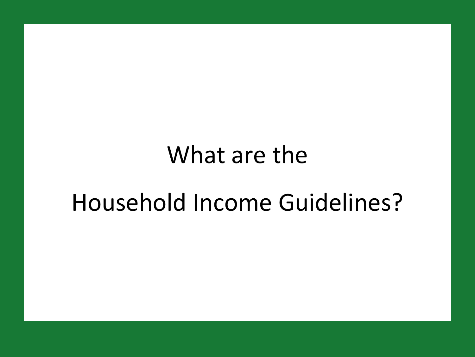## What are the

## Household Income Guidelines?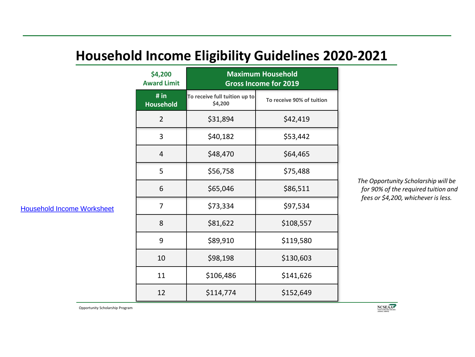#### **Household Income Eligibility Guidelines 2020-2021**

| \$4,200<br><b>Award Limit</b> | <b>Maximum Household</b><br><b>Gross Income for 2019</b> |                           |  |
|-------------------------------|----------------------------------------------------------|---------------------------|--|
| # in<br><b>Household</b>      | To receive full tuition up to<br>\$4,200                 | To receive 90% of tuition |  |
| $\overline{2}$                | \$31,894                                                 | \$42,419                  |  |
| 3                             | \$40,182                                                 | \$53,442                  |  |
| 4                             | \$48,470                                                 | \$64,465                  |  |
| 5                             | \$56,758                                                 | \$75,488                  |  |
| 6                             | \$65,046                                                 | \$86,511                  |  |
| 7                             | \$73,334                                                 | \$97,534                  |  |
| 8                             | \$81,622                                                 | \$108,557                 |  |
| 9                             | \$89,910                                                 | \$119,580                 |  |
| 10                            | \$98,198                                                 | \$130,603                 |  |
| 11                            | \$106,486                                                | \$141,626                 |  |
| 12                            | \$114,774                                                | \$152,649                 |  |

*The Opportunity Scholarship will be for 90% of the required tuition and fees or \$4,200, whichever is less.*

[Household Income Worksheet](http://www.ncseaa.edu/documents/OPS_HHIncome.pdf)

Opportunity Scholarship Program

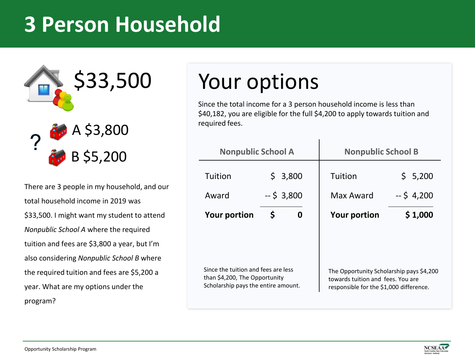## **3 Person Household**



There are 3 people in my household, and our total household income in 2019 was \$33,500. I might want my student to attend *Nonpublic School A* where the required tuition and fees are \$3,800 a year, but I'm also considering *Nonpublic School B* where the required tuition and fees are \$5,200 a year. What are my options under the program?

## Your options

Since the total income for a 3 person household income is less than \$40,182, you are eligible for the full \$4,200 to apply towards tuition and

| <b>Nonpublic School A</b>                                                                                   |            |         | <b>Nonpublic School B</b>                                                                                                |                       |  |
|-------------------------------------------------------------------------------------------------------------|------------|---------|--------------------------------------------------------------------------------------------------------------------------|-----------------------|--|
| Tuition<br>Award                                                                                            | $-5$ 3,800 | \$3,800 | Tuition<br>Max Award                                                                                                     | \$5,200<br>$-5$ 4,200 |  |
| <b>Your portion</b>                                                                                         | \$<br>0    |         | <b>Your portion</b>                                                                                                      | \$1,000               |  |
|                                                                                                             |            |         |                                                                                                                          |                       |  |
| Since the tuition and fees are less<br>than \$4,200, The Opportunity<br>Scholarship pays the entire amount. |            |         | The Opportunity Scholarship pays \$4,200<br>towards tuition and fees. You are<br>responsible for the \$1,000 difference. |                       |  |

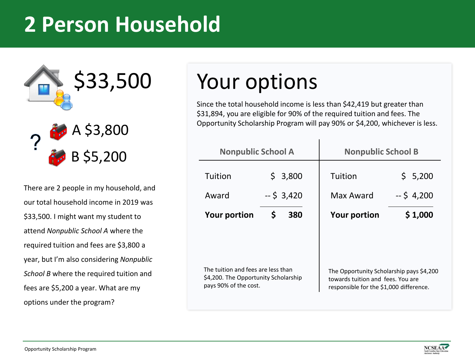## **2 Person Household**



There are 2 people in my household, and our total household income in 2019 was \$33,500. I might want my student to attend *Nonpublic School A* where the required tuition and fees are \$3,800 a year, but I'm also considering *Nonpublic School B* where the required tuition and fees are \$5,200 a year. What are my options under the program?

## Your options

Since the total household income is less than \$42,419 but greater than \$31,894, you are eligible for 90% of the required tuition and fees. The Opportunity Scholarship Program will pay 90% or \$4,200, whichever is less.

| <b>Nonpublic School A</b>                                                                           |                          | <b>Nonpublic School B</b> |                                                                                                                          |  |  |
|-----------------------------------------------------------------------------------------------------|--------------------------|---------------------------|--------------------------------------------------------------------------------------------------------------------------|--|--|
| Tuition<br>Award                                                                                    | \$<br>3,800<br>$-53,420$ | Tuition<br>Max Award      | \$5,200<br>$-5$ 4,200                                                                                                    |  |  |
| <b>Your portion</b><br>S<br>380                                                                     |                          | <b>Your portion</b>       | \$1,000                                                                                                                  |  |  |
|                                                                                                     |                          |                           |                                                                                                                          |  |  |
| The tuition and fees are less than<br>\$4,200. The Opportunity Scholarship<br>pays 90% of the cost. |                          |                           | The Opportunity Scholarship pays \$4,200<br>towards tuition and fees. You are<br>responsible for the \$1,000 difference. |  |  |

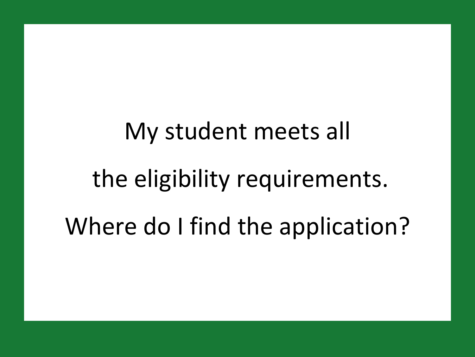## My student meets all the eligibility requirements. Where do I find the application?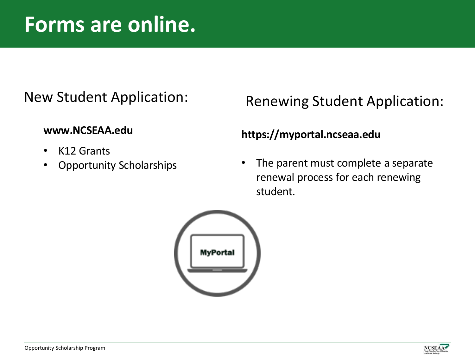### **Forms are online.**

#### New Student Application:

#### **www.NCSEAA.edu**

- K12 Grants
- Opportunity Scholarships

#### Renewing Student Application:

#### **https://myportal.ncseaa.edu**

The parent must complete a separate renewal process for each renewing student.



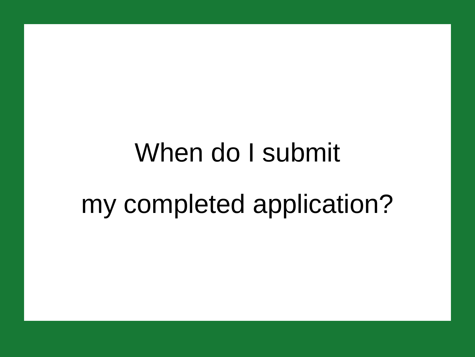## When do I submit my completed application?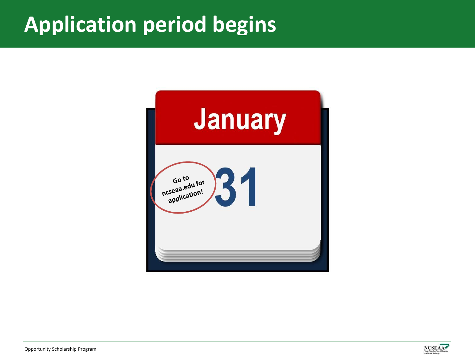## **Application period begins**



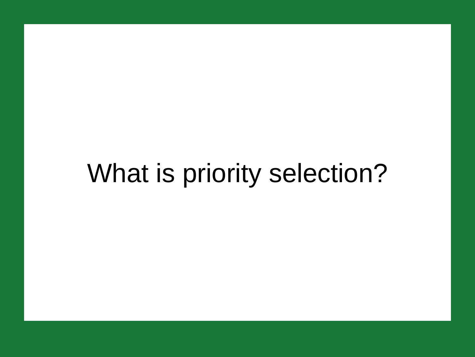## What is priority selection?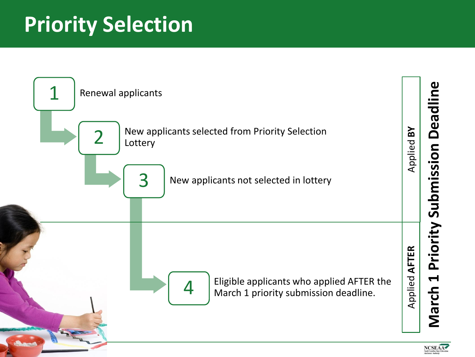## **Priority Selection**

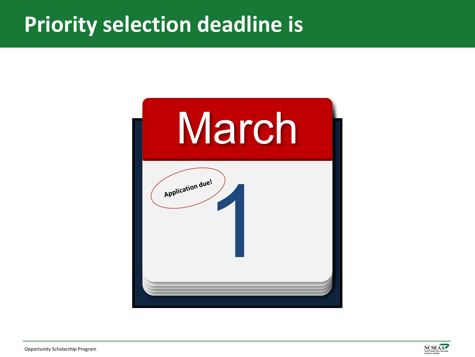### **Priority selection deadline is**



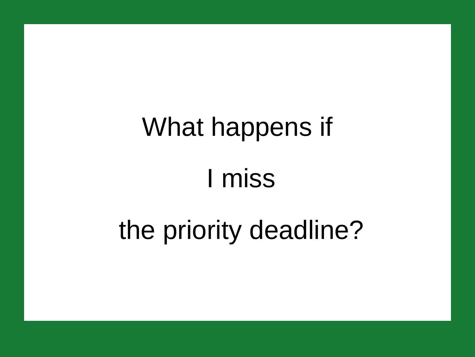# What happens if I miss

## the priority deadline?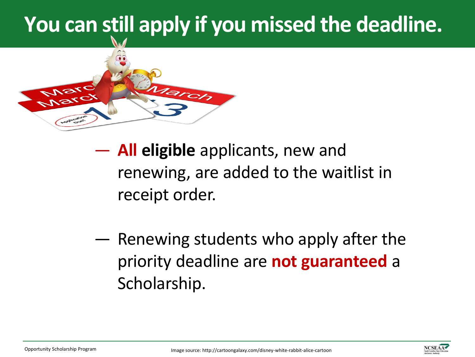## **You can still apply if you missed the deadline.**



― **All eligible** applicants, new and renewing, are added to the waitlist in receipt order.

― Renewing students who apply after the priority deadline are **not guaranteed** a Scholarship.

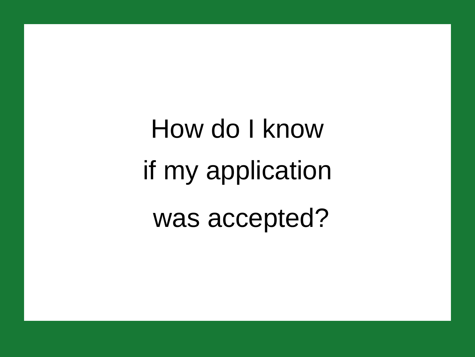How do I know if my application was accepted?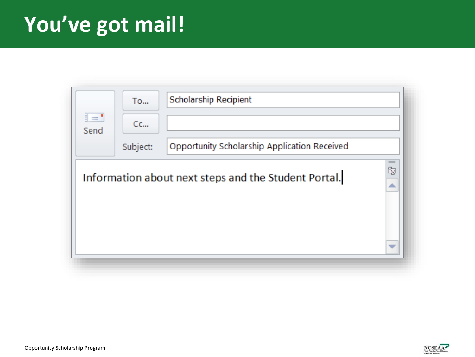## **You've got mail!**

| $\mathbb{R}$<br>Send | <b>To</b><br>Cc<br>Subject: | Scholarship Recipient<br>Opportunity Scholarship Application Received |         |
|----------------------|-----------------------------|-----------------------------------------------------------------------|---------|
|                      |                             | Information about next steps and the Student Portal.                  | Ċ,<br>∸ |

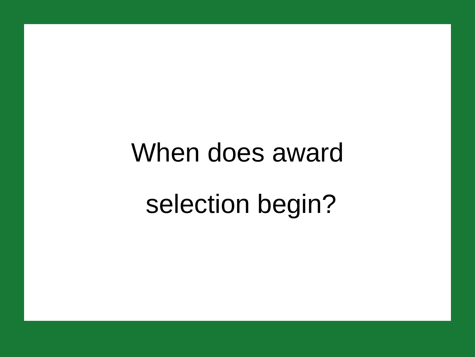## When does award selection begin?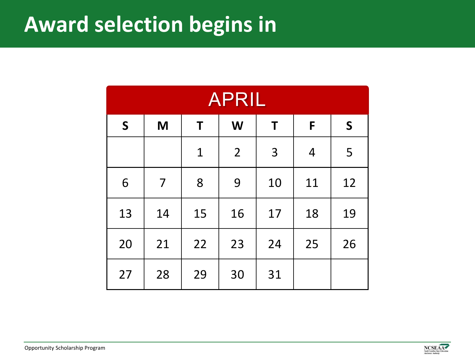## **Award selection begins in**

| <b>APRIL</b> |                |              |                |    |                |              |
|--------------|----------------|--------------|----------------|----|----------------|--------------|
| $\mathsf{S}$ | M              | T            | W              | T  | F              | $\mathsf{S}$ |
|              |                | $\mathbf{1}$ | $\overline{2}$ | 3  | $\overline{4}$ | 5            |
| 6            | $\overline{7}$ | 8            | 9              | 10 | 11             | 12           |
| 13           | 14             | 15           | 16             | 17 | 18             | 19           |
| 20           | 21             | 22           | 23             | 24 | 25             | 26           |
| 27           | 28             | 29           | 30             | 31 |                |              |

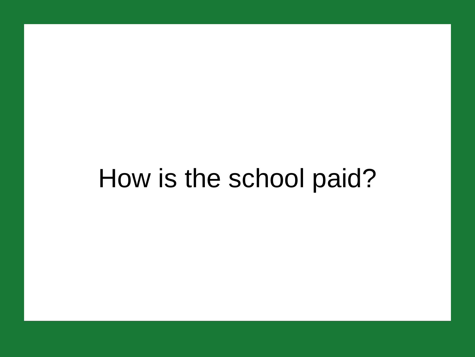## How is the school paid?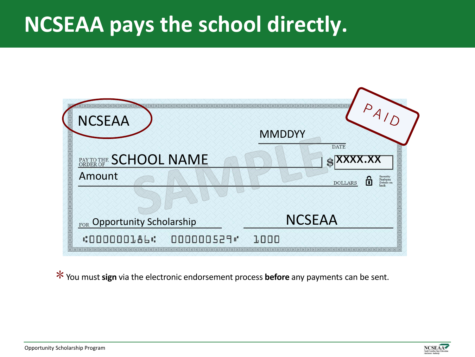## **NCSEAA pays the school directly.**

| 医医尿 | a da shakar shakar shakar shakar shakar shakar sh<br><b>NCSEAA</b> | <b>MERETZ</b><br><b>MMDDYY</b><br><b>DATE</b>                                       |  |
|-----|--------------------------------------------------------------------|-------------------------------------------------------------------------------------|--|
|     | PAY TO THE SCHOOL NAME<br>Amount                                   | XXXX.XX<br>一波波<br>Security<br>Features<br>Details on<br>back<br>П<br><b>DOLLARS</b> |  |
|     | FOR Opportunity Scholarship                                        | <b>NCSEAA</b>                                                                       |  |
|     | <b>:000000186:</b><br>000000529"                                   | 1000<br><b>THE REPORT OF THE REPORT OF THE REPORT OF THE REPORT OF THE </b>         |  |

You must **sign** via the electronic endorsement process **before** any payments can be sent. \*